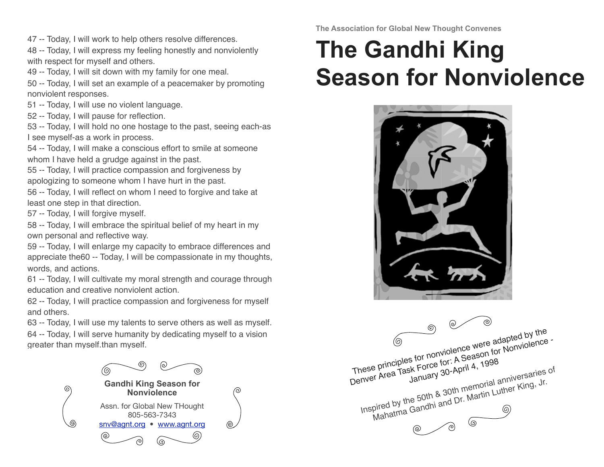47 -- Today, I will work to help others resolve differences.

48 -- Today, I will express my feeling honestly and nonviolently with respect for myself and others.

49 -- Today, I will sit down with my family for one meal.

50 -- Today, I will set an example of a peacemaker by promoting nonviolent responses.

51 -- Today, I will use no violent language.

52 -- Today, I will pause for reflection.

53 -- Today, I will hold no one hostage to the past, seeing each-as I see myself-as a work in process.

54 -- Today, I will make a conscious effort to smile at someone whom I have held a grudge against in the past.

55 -- Today, I will practice compassion and forgiveness by apologizing to someone whom I have hurt in the past.

56 -- Today, I will reflect on whom I need to forgive and take at least one step in that direction.

57 -- Today, I will forgive myself.

58 -- Today, I will embrace the spiritual belief of my heart in my own personal and reflective way.

59 -- Today, I will enlarge my capacity to embrace differences and appreciate the60 -- Today, I will be compassionate in my thoughts, words, and actions.

61 -- Today, I will cultivate my moral strength and courage through education and creative nonviolent action.

62 -- Today, I will practice compassion and forgiveness for myself and others.

63 -- Today, I will use my talents to serve others as well as myself. 64 -- Today, I will serve humanity by dedicating myself to a vision greater than myself.than myself.



**The Association for Global New Thought Convenes**

## **The Gandhi King Season for Nonviolence**